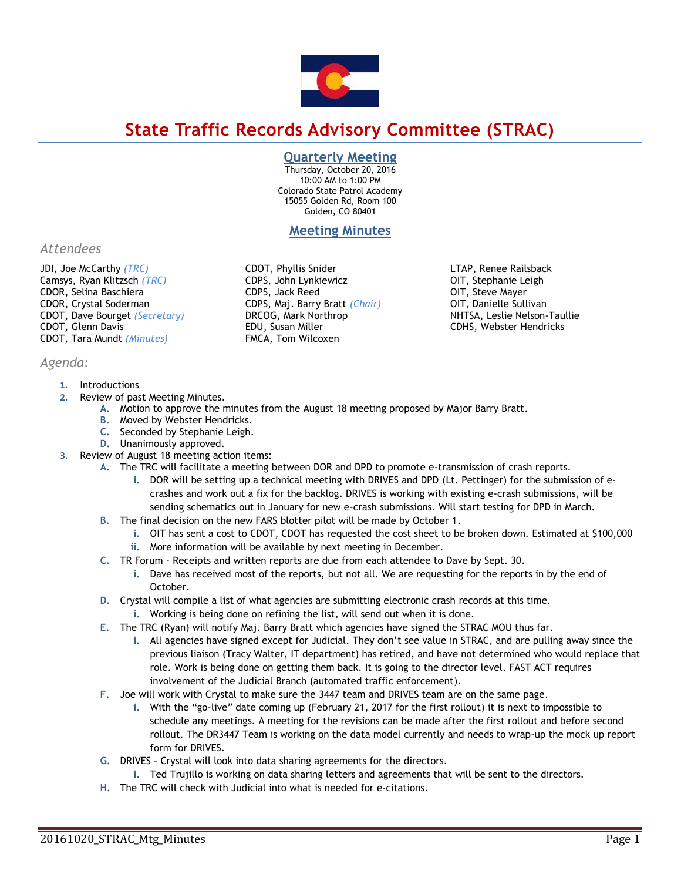

# **State Traffic Records Advisory Committee (STRAC)**

## **Quarterly Meeting**

Thursday, October 20, 2016 10:00 AM to 1:00 PM Colorado State Patrol Academy 15055 Golden Rd, Room 100 Golden, CO 80401

# **Meeting Minutes**

*Attendees*

JDI, Joe McCarthy *(TRC)* Camsys, Ryan Klitzsch *(TRC)* CDOR, Selina Baschiera CDOR, Crystal Soderman CDOT, Dave Bourget *(Secretary)* CDOT, Glenn Davis CDOT, Tara Mundt *(Minutes)*

# *Agenda:*

#### **1.** Introductions

- **2.** Review of past Meeting Minutes.
	- **A.** Motion to approve the minutes from the August 18 meeting proposed by Major Barry Bratt.
	- **B.** Moved by Webster Hendricks.
	- **C.** Seconded by Stephanie Leigh.
	- **D.** Unanimously approved.
- **3.** Review of August 18 meeting action items:
	- **A.** The TRC will facilitate a meeting between DOR and DPD to promote e-transmission of crash reports.
		- **i.** DOR will be setting up a technical meeting with DRIVES and DPD (Lt. Pettinger) for the submission of ecrashes and work out a fix for the backlog. DRIVES is working with existing e-crash submissions, will be sending schematics out in January for new e-crash submissions. Will start testing for DPD in March.
	- **B.** The final decision on the new FARS blotter pilot will be made by October 1.
		- **i.** OIT has sent a cost to CDOT, CDOT has requested the cost sheet to be broken down. Estimated at \$100,000
		- **ii.** More information will be available by next meeting in December.
	- **C.** TR Forum Receipts and written reports are due from each attendee to Dave by Sept. 30.
		- **i.** Dave has received most of the reports, but not all. We are requesting for the reports in by the end of October.
	- **D.** Crystal will compile a list of what agencies are submitting electronic crash records at this time.
		- **i.** Working is being done on refining the list, will send out when it is done.
	- **E.** The TRC (Ryan) will notify Maj. Barry Bratt which agencies have signed the STRAC MOU thus far.
		- **i.** All agencies have signed except for Judicial. They don't see value in STRAC, and are pulling away since the previous liaison (Tracy Walter, IT department) has retired, and have not determined who would replace that role. Work is being done on getting them back. It is going to the director level. FAST ACT requires involvement of the Judicial Branch (automated traffic enforcement).
	- **F.** Joe will work with Crystal to make sure the 3447 team and DRIVES team are on the same page.
		- **i.** With the "go-live" date coming up (February 21, 2017 for the first rollout) it is next to impossible to schedule any meetings. A meeting for the revisions can be made after the first rollout and before second rollout. The DR3447 Team is working on the data model currently and needs to wrap-up the mock up report form for DRIVES.
	- **G.** DRIVES Crystal will look into data sharing agreements for the directors.
		- **i.** Ted Trujillo is working on data sharing letters and agreements that will be sent to the directors.
	- **H.** The TRC will check with Judicial into what is needed for e-citations.

CDOT, Phyllis Snider CDPS, John Lynkiewicz CDPS, Jack Reed CDPS, Maj. Barry Bratt *(Chair)* DRCOG, Mark Northrop EDU, Susan Miller FMCA, Tom Wilcoxen

LTAP, Renee Railsback OIT, Stephanie Leigh OIT, Steve Mayer OIT, Danielle Sullivan NHTSA, Leslie Nelson-Taullie CDHS, Webster Hendricks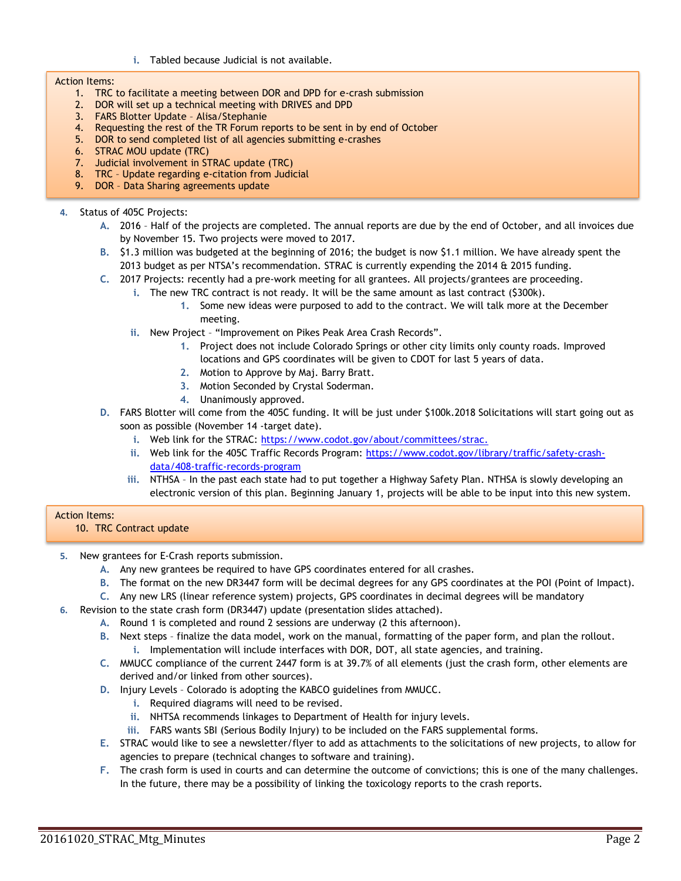**i.** Tabled because Judicial is not available.

#### Action Items:

- 1. TRC to facilitate a meeting between DOR and DPD for e-crash submission
- 2. DOR will set up a technical meeting with DRIVES and DPD
- 3. FARS Blotter Update Alisa/Stephanie
- 4. Requesting the rest of the TR Forum reports to be sent in by end of October
- 5. DOR to send completed list of all agencies submitting e-crashes
- 6. STRAC MOU update (TRC)
- 7. Judicial involvement in STRAC update (TRC)
- 8. TRC Update regarding e-citation from Judicial
- 9. DOR Data Sharing agreements update

### **4.** Status of 405C Projects:

- **A.** 2016 Half of the projects are completed. The annual reports are due by the end of October, and all invoices due by November 15. Two projects were moved to 2017.
- **B.** \$1.3 million was budgeted at the beginning of 2016; the budget is now \$1.1 million. We have already spent the 2013 budget as per NTSA's recommendation. STRAC is currently expending the 2014 & 2015 funding.
- **C.** 2017 Projects: recently had a pre-work meeting for all grantees. All projects/grantees are proceeding.
	- **i.** The new TRC contract is not ready. It will be the same amount as last contract (\$300k).
		- **1.** Some new ideas were purposed to add to the contract. We will talk more at the December meeting.
	- **ii.** New Project "Improvement on Pikes Peak Area Crash Records".
		- **1.** Project does not include Colorado Springs or other city limits only county roads. Improved locations and GPS coordinates will be given to CDOT for last 5 years of data.
		- **2.** Motion to Approve by Maj. Barry Bratt.
		- **3.** Motion Seconded by Crystal Soderman.
		- **4.** Unanimously approved.
- **D.** FARS Blotter will come from the 405C funding. It will be just under \$100k.2018 Solicitations will start going out as soon as possible (November 14 -target date).
	- i. Web link for the STRAC: [https://www.codot.gov/about/committees/strac.](https://www.codot.gov/about/committees/strac)
	- **ii.** Web link for the 405C Traffic Records Program: [https://www.codot.gov/library/traffic/safety-crash](https://www.codot.gov/library/traffic/safety-crash-data/408-traffic-records-program)[data/408-traffic-records-program](https://www.codot.gov/library/traffic/safety-crash-data/408-traffic-records-program)
	- **iii.** NTHSA In the past each state had to put together a Highway Safety Plan. NTHSA is slowly developing an electronic version of this plan. Beginning January 1, projects will be able to be input into this new system.

## Action Items:

10. TRC Contract update

- **5.** New grantees for E-Crash reports submission.
	- **A.** Any new grantees be required to have GPS coordinates entered for all crashes.
	- **B.** The format on the new DR3447 form will be decimal degrees for any GPS coordinates at the POI (Point of Impact).
	- **C.** Any new LRS (linear reference system) projects, GPS coordinates in decimal degrees will be mandatory
- **6.** Revision to the state crash form (DR3447) update (presentation slides attached).
	- **A.** Round 1 is completed and round 2 sessions are underway (2 this afternoon).
	- **B.** Next steps finalize the data model, work on the manual, formatting of the paper form, and plan the rollout.
		- **i.** Implementation will include interfaces with DOR, DOT, all state agencies, and training.
	- **C.** MMUCC compliance of the current 2447 form is at 39.7% of all elements (just the crash form, other elements are derived and/or linked from other sources).
	- **D.** Injury Levels Colorado is adopting the KABCO guidelines from MMUCC.
		- **i.** Required diagrams will need to be revised.
		- **ii.** NHTSA recommends linkages to Department of Health for injury levels.
		- **iii.** FARS wants SBI (Serious Bodily Injury) to be included on the FARS supplemental forms.
	- **E.** STRAC would like to see a newsletter/flyer to add as attachments to the solicitations of new projects, to allow for agencies to prepare (technical changes to software and training).
	- **F.** The crash form is used in courts and can determine the outcome of convictions; this is one of the many challenges. In the future, there may be a possibility of linking the toxicology reports to the crash reports.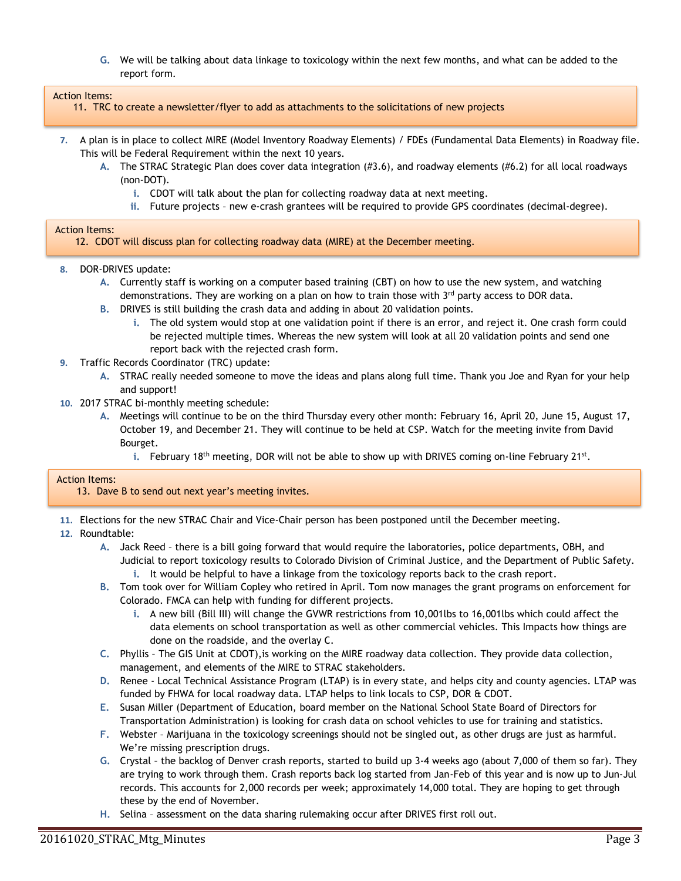**G.** We will be talking about data linkage to toxicology within the next few months, and what can be added to the report form.

#### Action Items:

11. TRC to create a newsletter/flyer to add as attachments to the solicitations of new projects

- **7.** A plan is in place to collect MIRE (Model Inventory Roadway Elements) / FDEs (Fundamental Data Elements) in Roadway file. This will be Federal Requirement within the next 10 years.
	- **A.** The STRAC Strategic Plan does cover data integration (#3.6), and roadway elements (#6.2) for all local roadways (non-DOT).
		- **i.** CDOT will talk about the plan for collecting roadway data at next meeting.
		- **ii.** Future projects new e-crash grantees will be required to provide GPS coordinates (decimal-degree).

#### Action Items:

12. CDOT will discuss plan for collecting roadway data (MIRE) at the December meeting.

- **8.** DOR-DRIVES update:
	- **A.** Currently staff is working on a computer based training (CBT) on how to use the new system, and watching demonstrations. They are working on a plan on how to train those with  $3<sup>rd</sup>$  party access to DOR data.
	- **B.** DRIVES is still building the crash data and adding in about 20 validation points.
		- **i.** The old system would stop at one validation point if there is an error, and reject it. One crash form could be rejected multiple times. Whereas the new system will look at all 20 validation points and send one report back with the rejected crash form.
- **9.** Traffic Records Coordinator (TRC) update:
	- **A.** STRAC really needed someone to move the ideas and plans along full time. Thank you Joe and Ryan for your help and support!
- **10.** 2017 STRAC bi-monthly meeting schedule:
	- **A.** Meetings will continue to be on the third Thursday every other month: February 16, April 20, June 15, August 17, October 19, and December 21. They will continue to be held at CSP. Watch for the meeting invite from David Bourget.
		- i. February 18<sup>th</sup> meeting, DOR will not be able to show up with DRIVES coming on-line February 21st.

#### Action Items:

13. Dave B to send out next year's meeting invites.

- **11.** Elections for the new STRAC Chair and Vice-Chair person has been postponed until the December meeting.
- **12.** Roundtable:
	- **A.** Jack Reed there is a bill going forward that would require the laboratories, police departments, OBH, and Judicial to report toxicology results to Colorado Division of Criminal Justice, and the Department of Public Safety. **i.** It would be helpful to have a linkage from the toxicology reports back to the crash report.
	- **B.** Tom took over for William Copley who retired in April. Tom now manages the grant programs on enforcement for Colorado. FMCA can help with funding for different projects.
		- **i.** A new bill (Bill III) will change the GVWR restrictions from 10,001lbs to 16,001lbs which could affect the data elements on school transportation as well as other commercial vehicles. This Impacts how things are done on the roadside, and the overlay C.
	- **C.** Phyllis The GIS Unit at CDOT),is working on the MIRE roadway data collection. They provide data collection, management, and elements of the MIRE to STRAC stakeholders.
	- **D.** Renee Local Technical Assistance Program (LTAP) is in every state, and helps city and county agencies. LTAP was funded by FHWA for local roadway data. LTAP helps to link locals to CSP, DOR & CDOT.
	- **E.** Susan Miller (Department of Education, board member on the National School State Board of Directors for Transportation Administration) is looking for crash data on school vehicles to use for training and statistics.
	- **F.** Webster Marijuana in the toxicology screenings should not be singled out, as other drugs are just as harmful. We're missing prescription drugs.
	- **G.** Crystal the backlog of Denver crash reports, started to build up 3-4 weeks ago (about 7,000 of them so far). They are trying to work through them. Crash reports back log started from Jan-Feb of this year and is now up to Jun-Jul records. This accounts for 2,000 records per week; approximately 14,000 total. They are hoping to get through these by the end of November.
	- **H.** Selina assessment on the data sharing rulemaking occur after DRIVES first roll out.